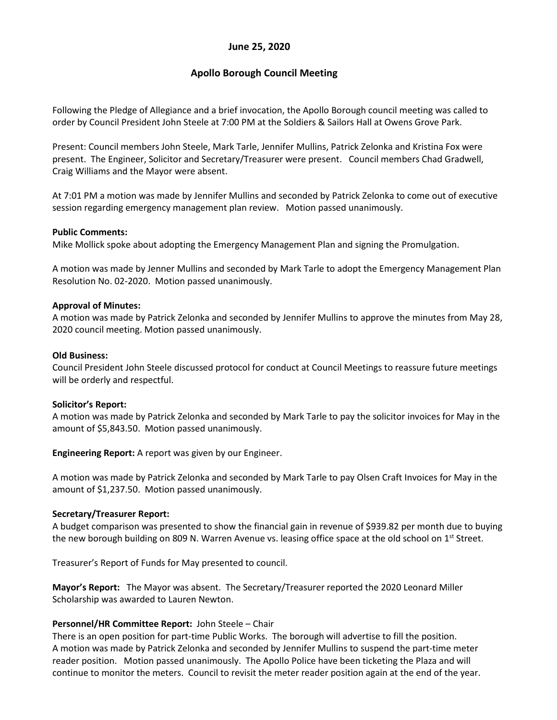## **June 25, 2020**

# **Apollo Borough Council Meeting**

Following the Pledge of Allegiance and a brief invocation, the Apollo Borough council meeting was called to order by Council President John Steele at 7:00 PM at the Soldiers & Sailors Hall at Owens Grove Park.

Present: Council members John Steele, Mark Tarle, Jennifer Mullins, Patrick Zelonka and Kristina Fox were present. The Engineer, Solicitor and Secretary/Treasurer were present. Council members Chad Gradwell, Craig Williams and the Mayor were absent.

At 7:01 PM a motion was made by Jennifer Mullins and seconded by Patrick Zelonka to come out of executive session regarding emergency management plan review. Motion passed unanimously.

#### **Public Comments:**

Mike Mollick spoke about adopting the Emergency Management Plan and signing the Promulgation.

A motion was made by Jenner Mullins and seconded by Mark Tarle to adopt the Emergency Management Plan Resolution No. 02-2020. Motion passed unanimously.

#### **Approval of Minutes:**

A motion was made by Patrick Zelonka and seconded by Jennifer Mullins to approve the minutes from May 28, 2020 council meeting. Motion passed unanimously.

#### **Old Business:**

Council President John Steele discussed protocol for conduct at Council Meetings to reassure future meetings will be orderly and respectful.

### **Solicitor's Report:**

A motion was made by Patrick Zelonka and seconded by Mark Tarle to pay the solicitor invoices for May in the amount of \$5,843.50. Motion passed unanimously.

**Engineering Report:** A report was given by our Engineer.

A motion was made by Patrick Zelonka and seconded by Mark Tarle to pay Olsen Craft Invoices for May in the amount of \$1,237.50. Motion passed unanimously.

#### **Secretary/Treasurer Report:**

A budget comparison was presented to show the financial gain in revenue of \$939.82 per month due to buying the new borough building on 809 N. Warren Avenue vs. leasing office space at the old school on 1<sup>st</sup> Street.

Treasurer's Report of Funds for May presented to council.

**Mayor's Report:** The Mayor was absent. The Secretary/Treasurer reported the 2020 Leonard Miller Scholarship was awarded to Lauren Newton.

### **Personnel/HR Committee Report:** John Steele – Chair

There is an open position for part-time Public Works. The borough will advertise to fill the position. A motion was made by Patrick Zelonka and seconded by Jennifer Mullins to suspend the part-time meter reader position. Motion passed unanimously. The Apollo Police have been ticketing the Plaza and will continue to monitor the meters. Council to revisit the meter reader position again at the end of the year.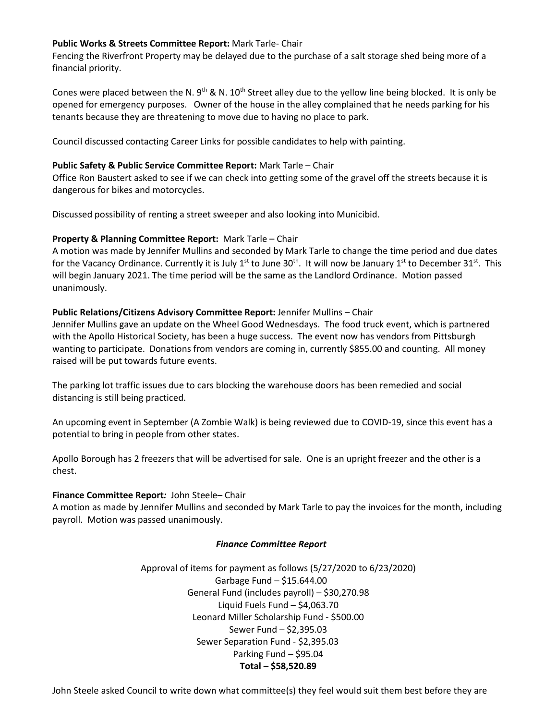### **Public Works & Streets Committee Report:** Mark Tarle- Chair

Fencing the Riverfront Property may be delayed due to the purchase of a salt storage shed being more of a financial priority.

Cones were placed between the N. 9<sup>th</sup> & N. 10<sup>th</sup> Street alley due to the yellow line being blocked. It is only be opened for emergency purposes. Owner of the house in the alley complained that he needs parking for his tenants because they are threatening to move due to having no place to park.

Council discussed contacting Career Links for possible candidates to help with painting.

## **Public Safety & Public Service Committee Report:** Mark Tarle – Chair

Office Ron Baustert asked to see if we can check into getting some of the gravel off the streets because it is dangerous for bikes and motorcycles.

Discussed possibility of renting a street sweeper and also looking into Municibid.

## **Property & Planning Committee Report:** Mark Tarle – Chair

A motion was made by Jennifer Mullins and seconded by Mark Tarle to change the time period and due dates for the Vacancy Ordinance. Currently it is July  $1^{st}$  to June  $30^{th}$ . It will now be January  $1^{st}$  to December  $31^{st}$ . This will begin January 2021. The time period will be the same as the Landlord Ordinance. Motion passed unanimously.

## **Public Relations/Citizens Advisory Committee Report:** Jennifer Mullins – Chair

Jennifer Mullins gave an update on the Wheel Good Wednesdays. The food truck event, which is partnered with the Apollo Historical Society, has been a huge success. The event now has vendors from Pittsburgh wanting to participate. Donations from vendors are coming in, currently \$855.00 and counting. All money raised will be put towards future events.

The parking lot traffic issues due to cars blocking the warehouse doors has been remedied and social distancing is still being practiced.

An upcoming event in September (A Zombie Walk) is being reviewed due to COVID-19, since this event has a potential to bring in people from other states.

Apollo Borough has 2 freezers that will be advertised for sale. One is an upright freezer and the other is a chest.

# **Finance Committee Report***:* John Steele– Chair

A motion as made by Jennifer Mullins and seconded by Mark Tarle to pay the invoices for the month, including payroll. Motion was passed unanimously.

### *Finance Committee Report*

Approval of items for payment as follows (5/27/2020 to 6/23/2020) Garbage Fund – \$15.644.00 General Fund (includes payroll) – \$30,270.98 Liquid Fuels Fund – \$4,063.70 Leonard Miller Scholarship Fund - \$500.00 Sewer Fund – \$2,395.03 Sewer Separation Fund - \$2,395.03 Parking Fund – \$95.04 **Total – \$58,520.89**